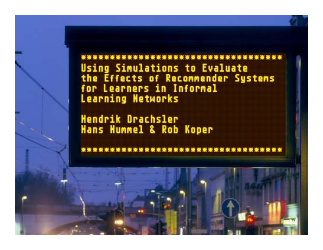\*\*\*\*\*\*\*\*\*\*\*\*\*\*\*\*\*\*\*\*\* **Using Simulations to Evaluate** the Effects of Recommender Systems<br>for Learners in Informal **Learning Networks** 

Hendrik Drachsler Hans Hummel & Rob Koper

\*\*\*\*\*\*\*\*\*\*\*\*\*\*\*\*\*\*\*\*\*\*\*\*\*\*\*\*\*\*\*\*\*\*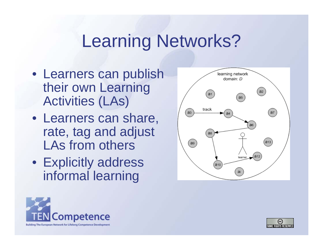# Learning Networks?

- Learners can publish their own Learning Activities (LAs)
- Learners can share, rate, tag and adjust LAs from others
- Explicitly address informal learning





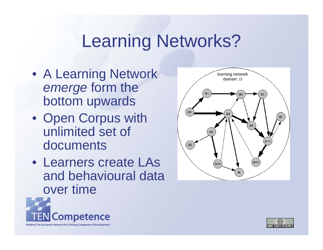# Learning Networks?

- A Learning Network *emerge* form the bottom upwards
- Open Corpus with unlimited set of documents
- Learners create LAs and behavioural data over time





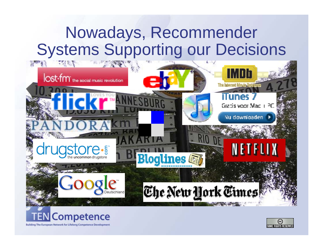### Nowadays, Recommender **Systems Supporting our Decisions**





Building The European Network for Lifelong Competence Development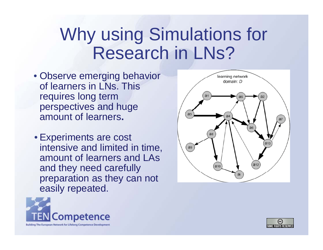# Why using Simulations for Research in LNs ?

- Observe emerging behavior of learners in LNs. This requires long term perspectives and huge amount of learners**.**
- Experiments are cost intensive and limited in time, amount of learners and LAsand they need carefully preparation as they can not easily repeated.





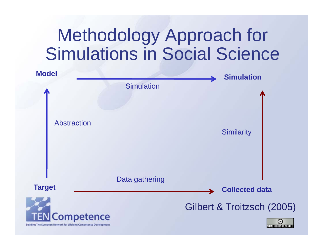# Methodology Approach for Simulations in Social Science

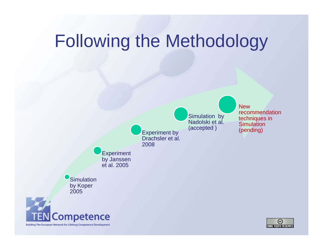# Following the Methodology

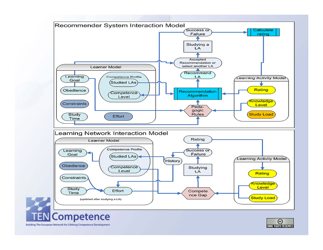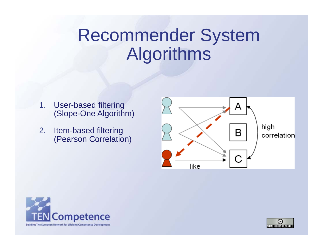# Recommender System Algorithms

- 1. Use r-based filterin g (Slope-One Algorithm)
- 2. Item-based filtering (Pearson Correlation)





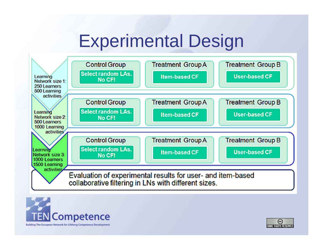# Experimental Design



Building The European Network for Lifelong Competence Development

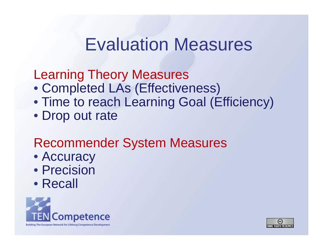#### **Evaluation Measures**

Learning Theory Measures

- Completed LAs (Effectiveness)
- Time to reach Learning Goal (Efficiency)
- Drop out rate

#### **Recommender System Measures**

- Accuracy
- Precision
- Recall



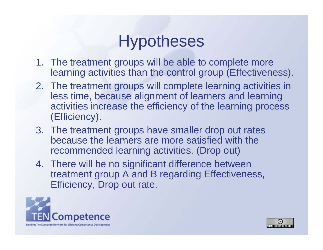## **Hypotheses**

- 1. The treatment groups will be able to complete more learning activities than the control group (Effectiveness).
- 2. The treatment groups will complete learning activities in less time, because alignment of learners and learning activities increase the efficiency of the learning process (Efficiency).
- 3. The treatment groups have smaller drop out rates because the learners are more satisfied with the recommended learning activities. (Drop out)
- 4. There will be no significant difference between treatment group A and B regarding Effectiveness, Efficiency, Drop out rate.



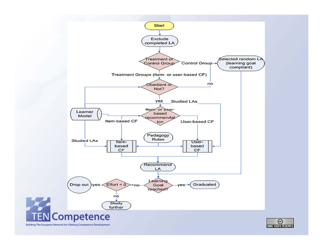

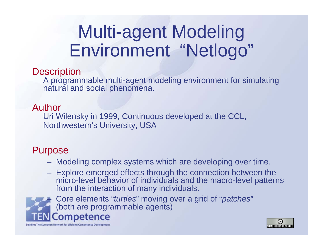#### Multi-agent Modeling Environment "Netlogo" etlogo

#### **Description**

A programmable multi-agent modeling environment for simulating natural and social phenomena.

#### Author

Uri Wilensky in 1999, Continuous developed at the CCL, Northwestern's University, USA

#### Purpose

- Modeling complex systems which are developing over time.
- $-$  Explore emerged effects through the connection between the micro-level behavior of individuals and the macro-level patterns from the interaction of many individuals.

 Core elements "*turtles*" moving over a grid of "*patches*" –(both are programmable agents)Competence



Building The European Network for Lifelong Competence Development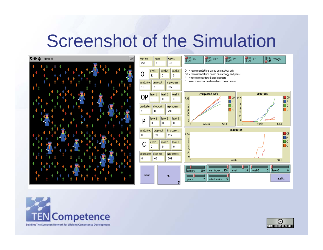### Screenshot of the Simulation





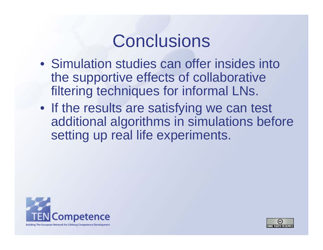## **Conclusions**

- Simulation studies can offer insides into the supportive effects of collaborative filtering techniques for informal LNs.
- If the results are satisfying we can test additional algorithms in simulations before setting up real life experiments.



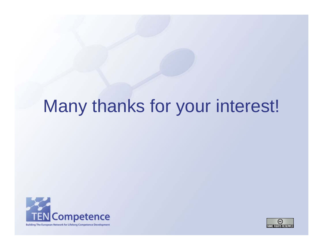# Many thanks for your interest!